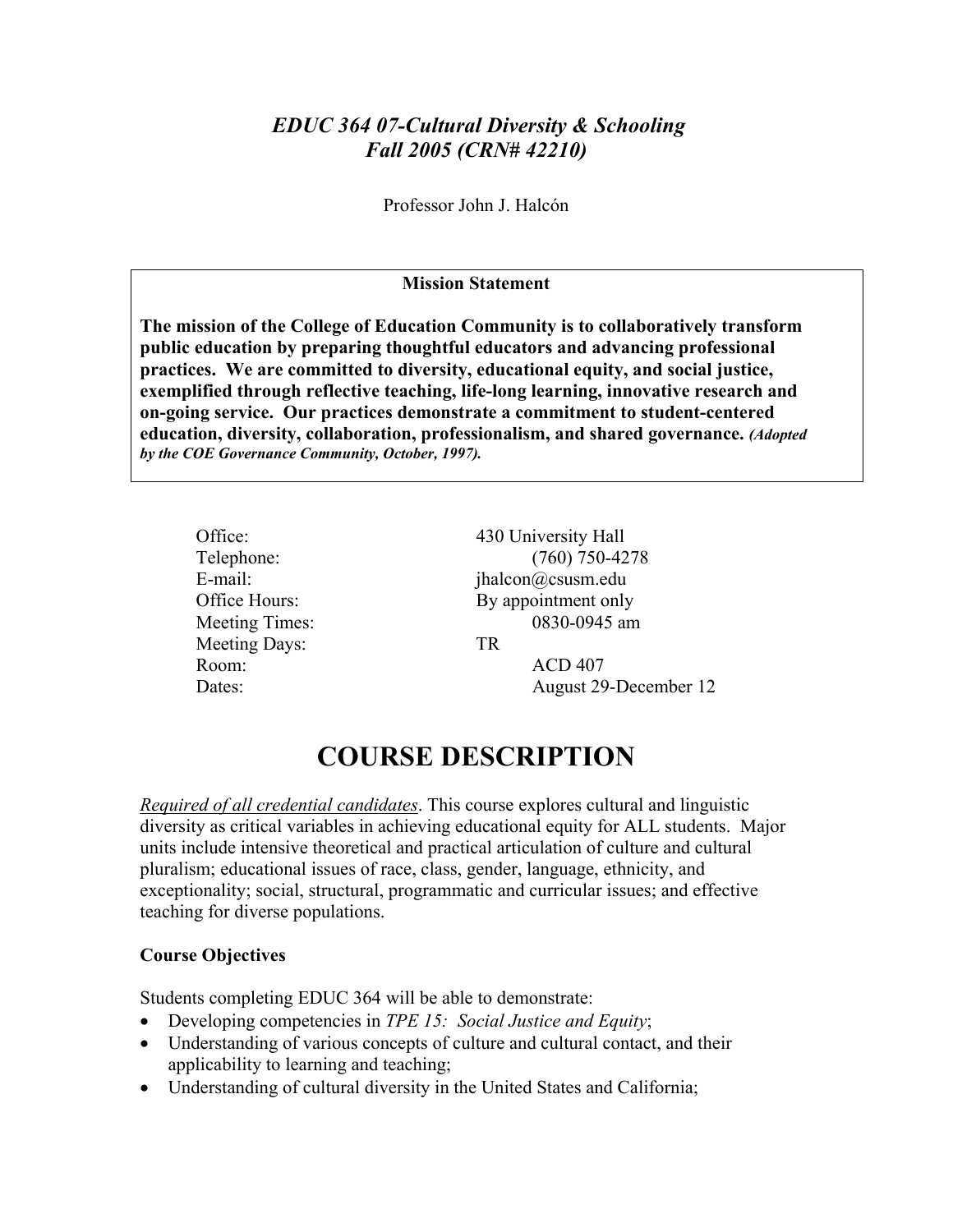# *EDUC 364 07-Cultural Diversity & Schooling Fall 2005 (CRN# 42210)*

Professor John J. Halcón

#### **Mission Statement**

**The mission of the College of Education Community is to collaboratively transform public education by preparing thoughtful educators and advancing professional practices. We are committed to diversity, educational equity, and social justice, exemplified through reflective teaching, life-long learning, innovative research and on-going service. Our practices demonstrate a commitment to student-centered education, diversity, collaboration, professionalism, and shared governance.** *(Adopted by the COE Governance Community, October, 1997).* 

| Office:        | 430 University Hall   |  |
|----------------|-----------------------|--|
| Telephone:     | $(760)$ 750-4278      |  |
| E-mail:        | jhalcon@csusm.edu     |  |
| Office Hours:  | By appointment only   |  |
| Meeting Times: | 0830-0945 am          |  |
| Meeting Days:  | TR                    |  |
| Room:          | <b>ACD 407</b>        |  |
| Dates:         | August 29-December 12 |  |
|                |                       |  |

# **COURSE DESCRIPTION**

*Required of all credential candidates*. This course explores cultural and linguistic diversity as critical variables in achieving educational equity for ALL students. Major units include intensive theoretical and practical articulation of culture and cultural pluralism; educational issues of race, class, gender, language, ethnicity, and exceptionality; social, structural, programmatic and curricular issues; and effective teaching for diverse populations.

## **Course Objectives**

Students completing EDUC 364 will be able to demonstrate:

- Developing competencies in *TPE 15: Social Justice and Equity*;
- Understanding of various concepts of culture and cultural contact, and their applicability to learning and teaching;
- Understanding of cultural diversity in the United States and California;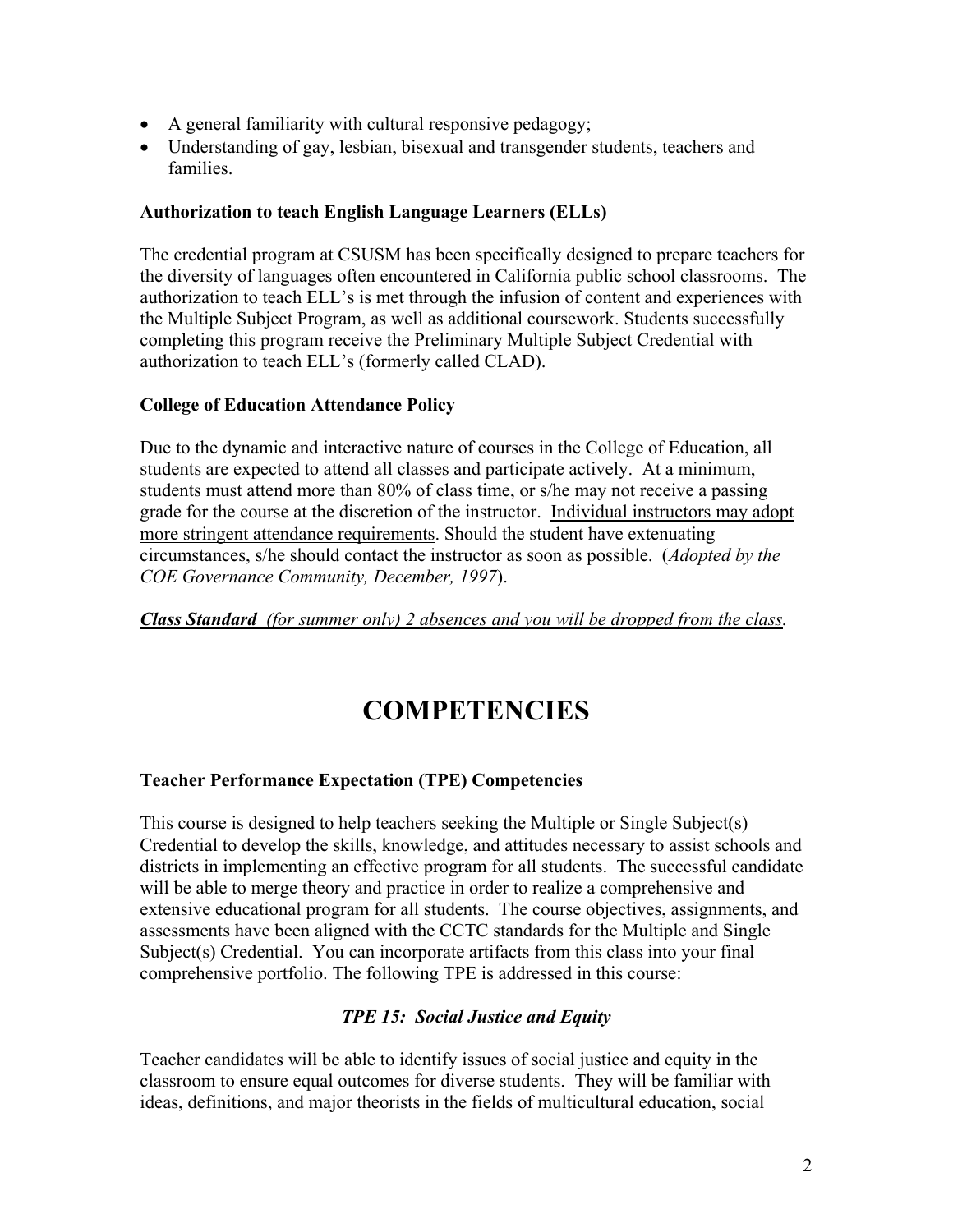- A general familiarity with cultural responsive pedagogy;
- Understanding of gay, lesbian, bisexual and transgender students, teachers and families.

## **Authorization to teach English Language Learners (ELLs)**

The credential program at CSUSM has been specifically designed to prepare teachers for the diversity of languages often encountered in California public school classrooms. The authorization to teach ELL's is met through the infusion of content and experiences with the Multiple Subject Program, as well as additional coursework. Students successfully completing this program receive the Preliminary Multiple Subject Credential with authorization to teach ELL's (formerly called CLAD).

#### **College of Education Attendance Policy**

Due to the dynamic and interactive nature of courses in the College of Education, all students are expected to attend all classes and participate actively. At a minimum, students must attend more than 80% of class time, or s/he may not receive a passing grade for the course at the discretion of the instructor. Individual instructors may adopt more stringent attendance requirements. Should the student have extenuating circumstances, s/he should contact the instructor as soon as possible. (*Adopted by the COE Governance Community, December, 1997*).

*Class Standard (for summer only) 2 absences and you will be dropped from the class.* 

# **COMPETENCIES**

#### **Teacher Performance Expectation (TPE) Competencies**

This course is designed to help teachers seeking the Multiple or Single Subject(s) Credential to develop the skills, knowledge, and attitudes necessary to assist schools and districts in implementing an effective program for all students. The successful candidate will be able to merge theory and practice in order to realize a comprehensive and extensive educational program for all students. The course objectives, assignments, and assessments have been aligned with the CCTC standards for the Multiple and Single Subject(s) Credential. You can incorporate artifacts from this class into your final comprehensive portfolio. The following TPE is addressed in this course:

## *TPE 15: Social Justice and Equity*

Teacher candidates will be able to identify issues of social justice and equity in the classroom to ensure equal outcomes for diverse students. They will be familiar with ideas, definitions, and major theorists in the fields of multicultural education, social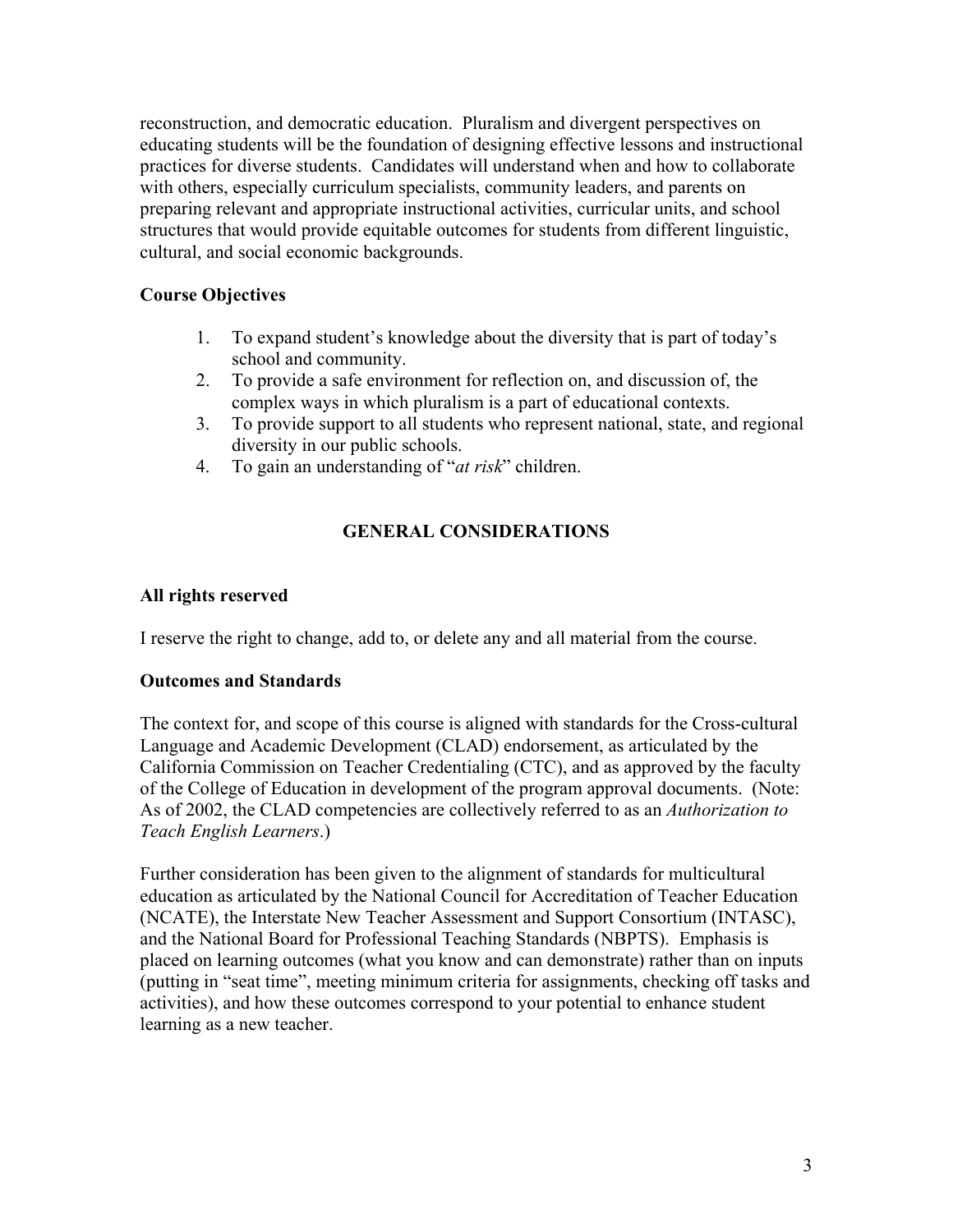reconstruction, and democratic education. Pluralism and divergent perspectives on educating students will be the foundation of designing effective lessons and instructional practices for diverse students. Candidates will understand when and how to collaborate with others, especially curriculum specialists, community leaders, and parents on preparing relevant and appropriate instructional activities, curricular units, and school structures that would provide equitable outcomes for students from different linguistic, cultural, and social economic backgrounds.

## **Course Objectives**

- 1. To expand student's knowledge about the diversity that is part of today's school and community.
- 2. To provide a safe environment for reflection on, and discussion of, the complex ways in which pluralism is a part of educational contexts.
- 3. To provide support to all students who represent national, state, and regional diversity in our public schools.
- 4. To gain an understanding of "*at risk*" children.

# **GENERAL CONSIDERATIONS**

## **All rights reserved**

I reserve the right to change, add to, or delete any and all material from the course.

## **Outcomes and Standards**

The context for, and scope of this course is aligned with standards for the Cross-cultural Language and Academic Development (CLAD) endorsement, as articulated by the California Commission on Teacher Credentialing (CTC), and as approved by the faculty of the College of Education in development of the program approval documents. (Note: As of 2002, the CLAD competencies are collectively referred to as an *Authorization to Teach English Learners*.)

Further consideration has been given to the alignment of standards for multicultural education as articulated by the National Council for Accreditation of Teacher Education (NCATE), the Interstate New Teacher Assessment and Support Consortium (INTASC), and the National Board for Professional Teaching Standards (NBPTS). Emphasis is placed on learning outcomes (what you know and can demonstrate) rather than on inputs (putting in "seat time", meeting minimum criteria for assignments, checking off tasks and activities), and how these outcomes correspond to your potential to enhance student learning as a new teacher.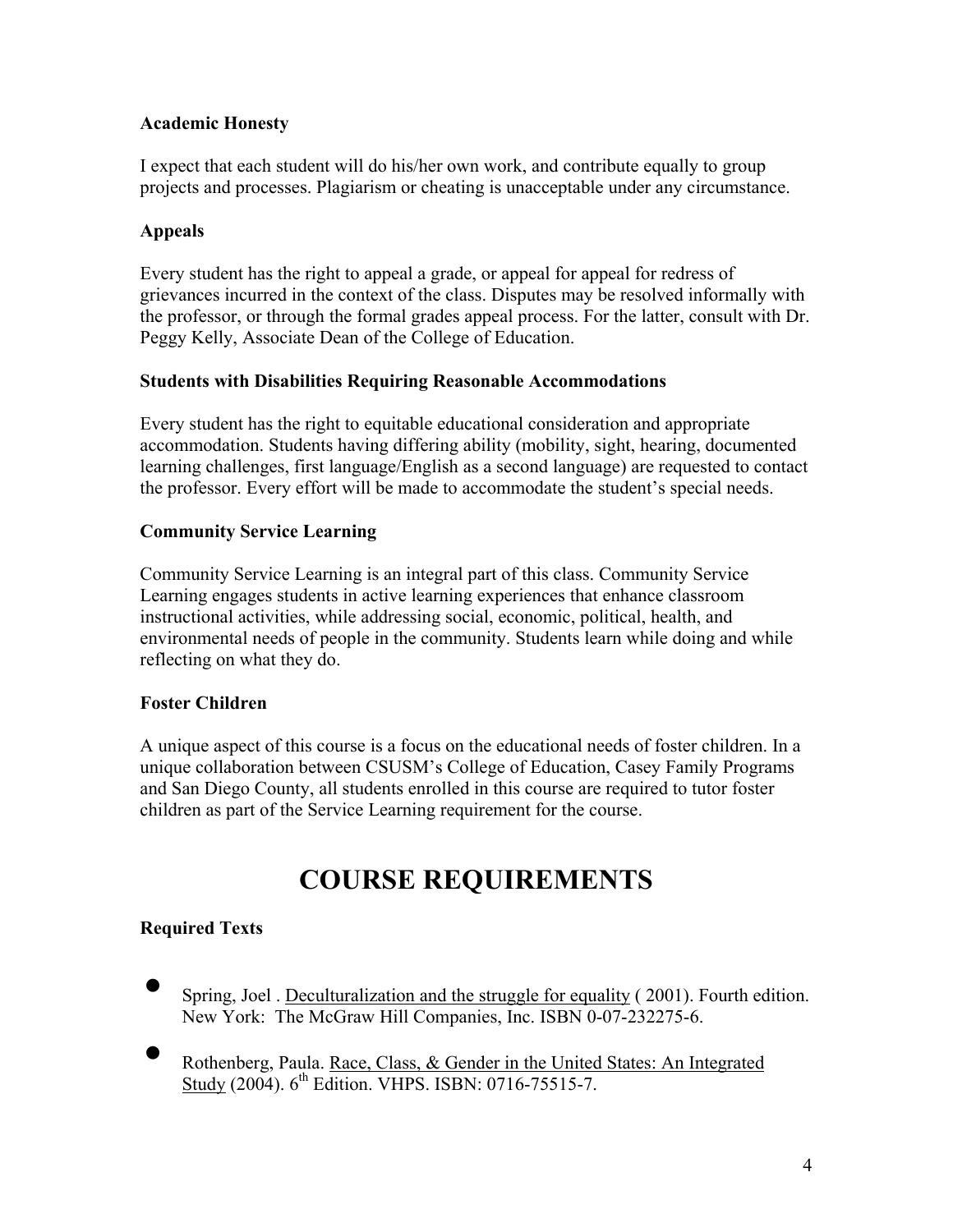# **Academic Honesty**

I expect that each student will do his/her own work, and contribute equally to group projects and processes. Plagiarism or cheating is unacceptable under any circumstance.

# **Appeals**

Every student has the right to appeal a grade, or appeal for appeal for redress of grievances incurred in the context of the class. Disputes may be resolved informally with the professor, or through the formal grades appeal process. For the latter, consult with Dr. Peggy Kelly, Associate Dean of the College of Education.

# **Students with Disabilities Requiring Reasonable Accommodations**

Every student has the right to equitable educational consideration and appropriate accommodation. Students having differing ability (mobility, sight, hearing, documented learning challenges, first language/English as a second language) are requested to contact the professor. Every effort will be made to accommodate the student's special needs.

# **Community Service Learning**

Community Service Learning is an integral part of this class. Community Service Learning engages students in active learning experiences that enhance classroom instructional activities, while addressing social, economic, political, health, and environmental needs of people in the community. Students learn while doing and while reflecting on what they do.

## **Foster Children**

A unique aspect of this course is a focus on the educational needs of foster children. In a unique collaboration between CSUSM's College of Education, Casey Family Programs and San Diego County, all students enrolled in this course are required to tutor foster children as part of the Service Learning requirement for the course.

# **COURSE REQUIREMENTS**

# **Required Texts**

- Spring, Joel . Deculturalization and the struggle for equality ( 2001). Fourth edition. New York: The McGraw Hill Companies, Inc. ISBN 0-07-232275-6.
- Rothenberg, Paula. Race, Class, & Gender in the United States: An Integrated Study (2004). 6<sup>th</sup> Edition. VHPS. ISBN: 0716-75515-7.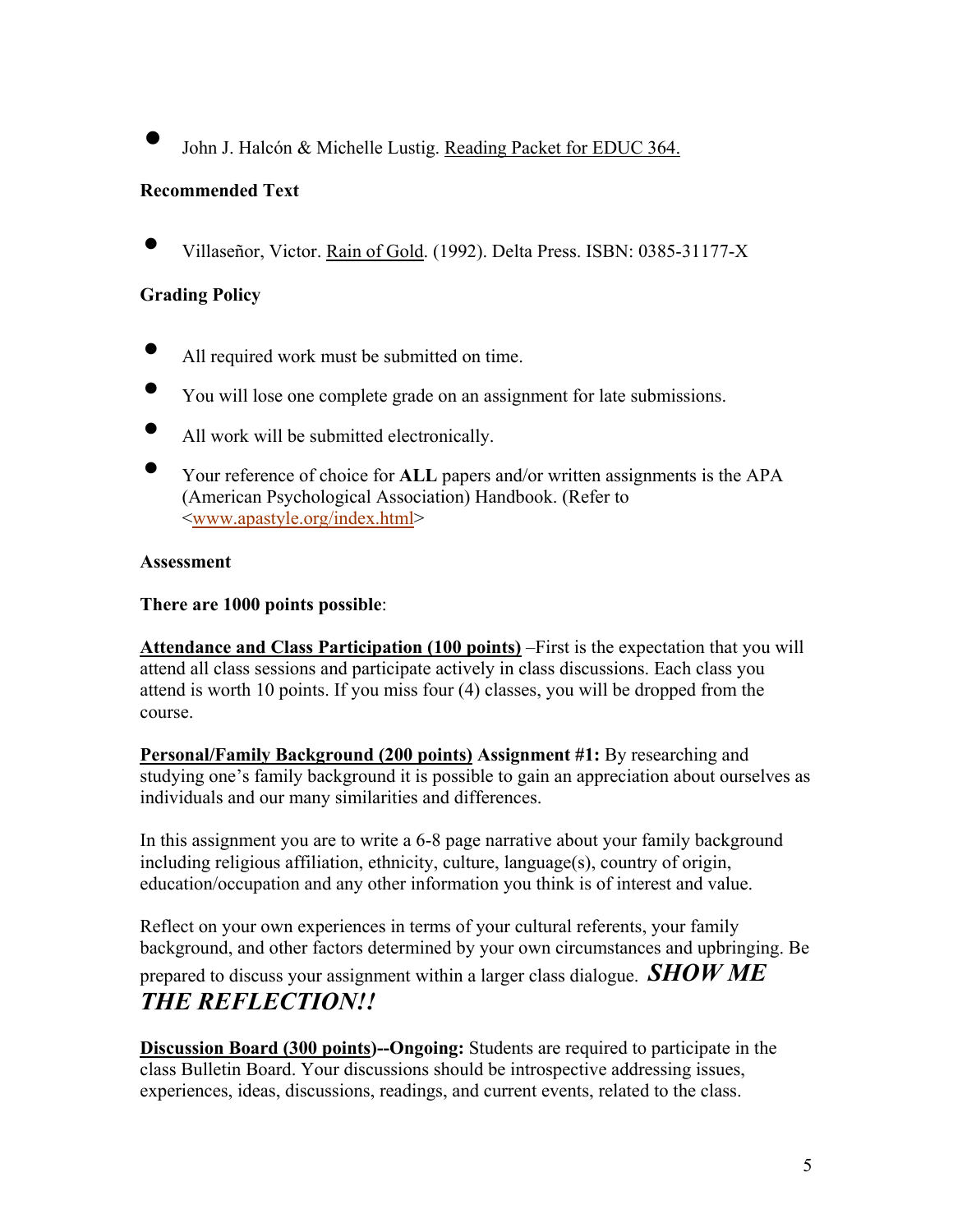• John J. Halcón & Michelle Lustig. Reading Packet for EDUC 364.

# **Recommended Text**

• Villaseñor, Victor. Rain of Gold. (1992). Delta Press. ISBN: 0385-31177-X

# **Grading Policy**

- All required work must be submitted on time.
- You will lose one complete grade on an assignment for late submissions.
- All work will be submitted electronically.
- Your reference of choice for **ALL** papers and/or written assignments is the APA (American Psychological Association) Handbook. (Refer to <www.apastyle.org/index.html>

## **Assessment**

## **There are 1000 points possible**:

**Attendance and Class Participation (100 points)** –First is the expectation that you will attend all class sessions and participate actively in class discussions. Each class you attend is worth 10 points. If you miss four (4) classes, you will be dropped from the course.

**Personal/Family Background (200 points) Assignment #1:** By researching and studying one's family background it is possible to gain an appreciation about ourselves as individuals and our many similarities and differences.

In this assignment you are to write a 6-8 page narrative about your family background including religious affiliation, ethnicity, culture, language(s), country of origin, education/occupation and any other information you think is of interest and value.

Reflect on your own experiences in terms of your cultural referents, your family background, and other factors determined by your own circumstances and upbringing. Be prepared to discuss your assignment within a larger class dialogue. *SHOW ME THE REFLECTION!!* 

**Discussion Board (300 points)--Ongoing:** Students are required to participate in the class Bulletin Board. Your discussions should be introspective addressing issues, experiences, ideas, discussions, readings, and current events, related to the class.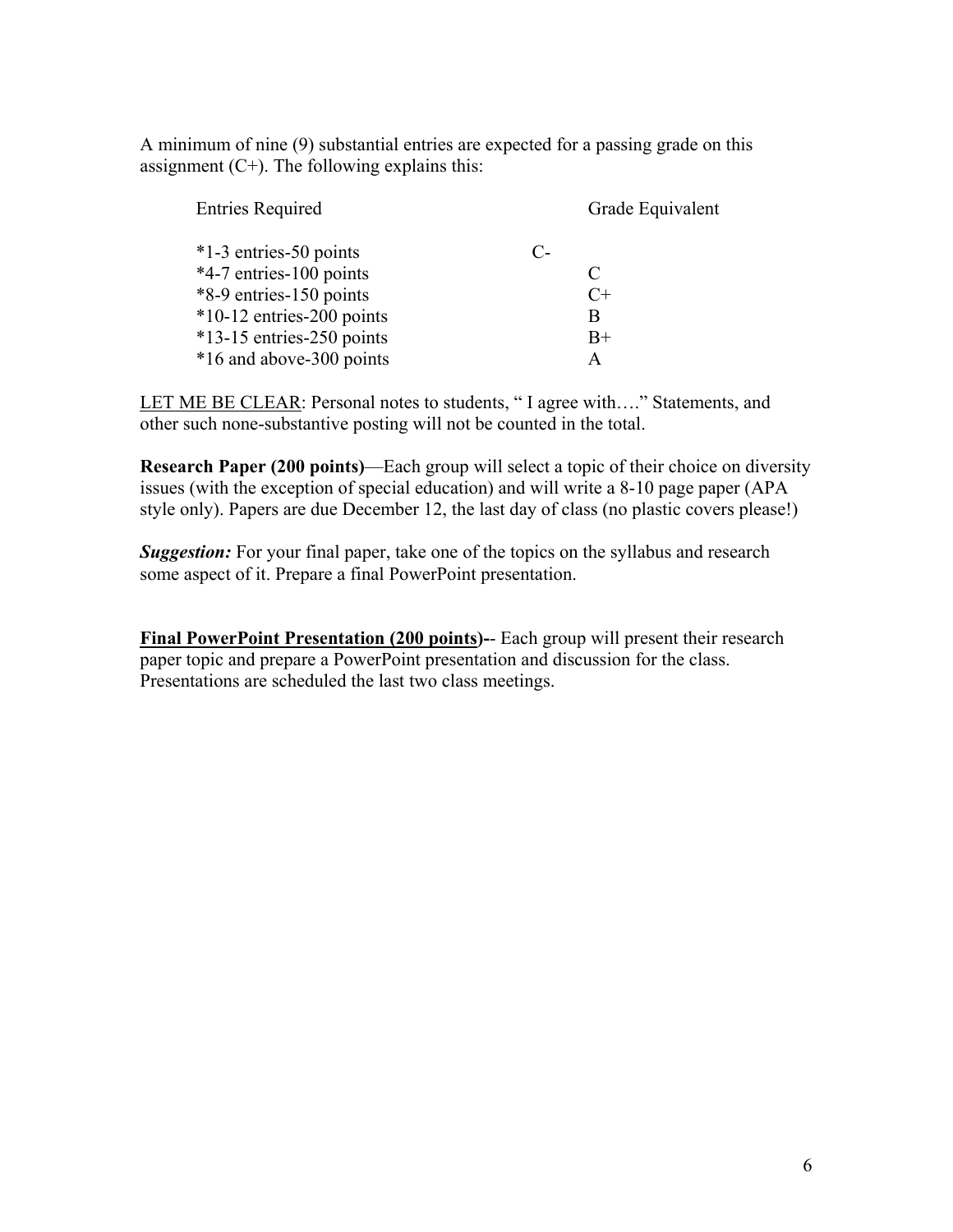A minimum of nine (9) substantial entries are expected for a passing grade on this assignment  $(C+)$ . The following explains this:

| <b>Entries Required</b>     |    | Grade Equivalent |
|-----------------------------|----|------------------|
| *1-3 entries-50 points      | C- |                  |
| *4-7 entries-100 points     |    | C                |
| *8-9 entries-150 points     |    | $C+$             |
| $*10-12$ entries-200 points |    | B                |
| $*13-15$ entries-250 points |    | $B+$             |
| *16 and above-300 points    |    | A                |

LET ME BE CLEAR: Personal notes to students, "I agree with...." Statements, and other such none-substantive posting will not be counted in the total.

**Research Paper (200 points)**—Each group will select a topic of their choice on diversity issues (with the exception of special education) and will write a 8-10 page paper (APA style only). Papers are due December 12, the last day of class (no plastic covers please!)

*Suggestion:* For your final paper, take one of the topics on the syllabus and research some aspect of it. Prepare a final PowerPoint presentation.

**Final PowerPoint Presentation (200 points)-**- Each group will present their research paper topic and prepare a PowerPoint presentation and discussion for the class. Presentations are scheduled the last two class meetings.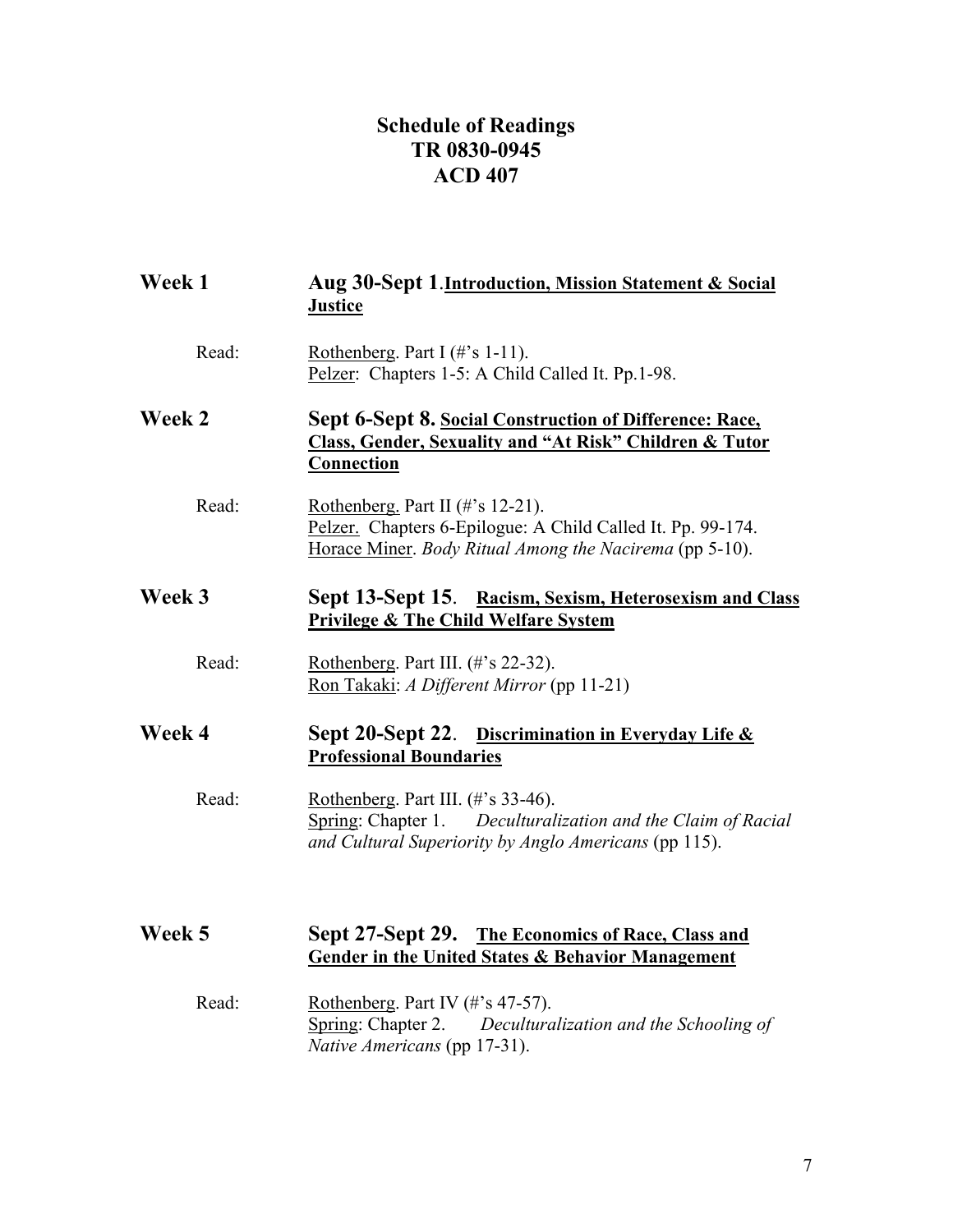# **Schedule of Readings TR 0830-0945 ACD 407**

| Week 1 | Aug 30-Sept 1. Introduction, Mission Statement & Social<br><b>Justice</b>                                                                                              |  |
|--------|------------------------------------------------------------------------------------------------------------------------------------------------------------------------|--|
| Read:  | Rothenberg. Part I $(\# \text{'s } 1-11)$ .<br>Pelzer: Chapters 1-5: A Child Called It. Pp.1-98.                                                                       |  |
| Week 2 | Sept 6-Sept 8. Social Construction of Difference: Race,<br><b>Class, Gender, Sexuality and "At Risk" Children &amp; Tutor</b><br><b>Connection</b>                     |  |
| Read:  | Rothenberg. Part II $(\# \text{'s} 12-21)$ .<br>Pelzer. Chapters 6-Epilogue: A Child Called It. Pp. 99-174.<br>Horace Miner. Body Ritual Among the Nacirema (pp 5-10). |  |
| Week 3 | Sept 13-Sept 15. Racism, Sexism, Heterosexism and Class<br><b>Privilege &amp; The Child Welfare System</b>                                                             |  |
| Read:  | Rothenberg. Part III. (#'s 22-32).<br>Ron Takaki: A Different Mirror (pp 11-21)                                                                                        |  |
| Week 4 | Sept 20-Sept 22. Discrimination in Everyday Life &<br><b>Professional Boundaries</b>                                                                                   |  |
| Read:  | Rothenberg. Part III. (#'s 33-46).<br>Spring: Chapter 1. Deculturalization and the Claim of Racial<br>and Cultural Superiority by Anglo Americans (pp 115).            |  |
| Week 5 | Sept 27-Sept 29. The Economics of Race, Class and<br><b>Gender in the United States &amp; Behavior Management</b>                                                      |  |
| Read:  | Rothenberg. Part IV $(\# \text{'s } 47-57)$ .<br>Spring: Chapter 2. Deculturalization and the Schooling of<br>Native Americans (pp 17-31).                             |  |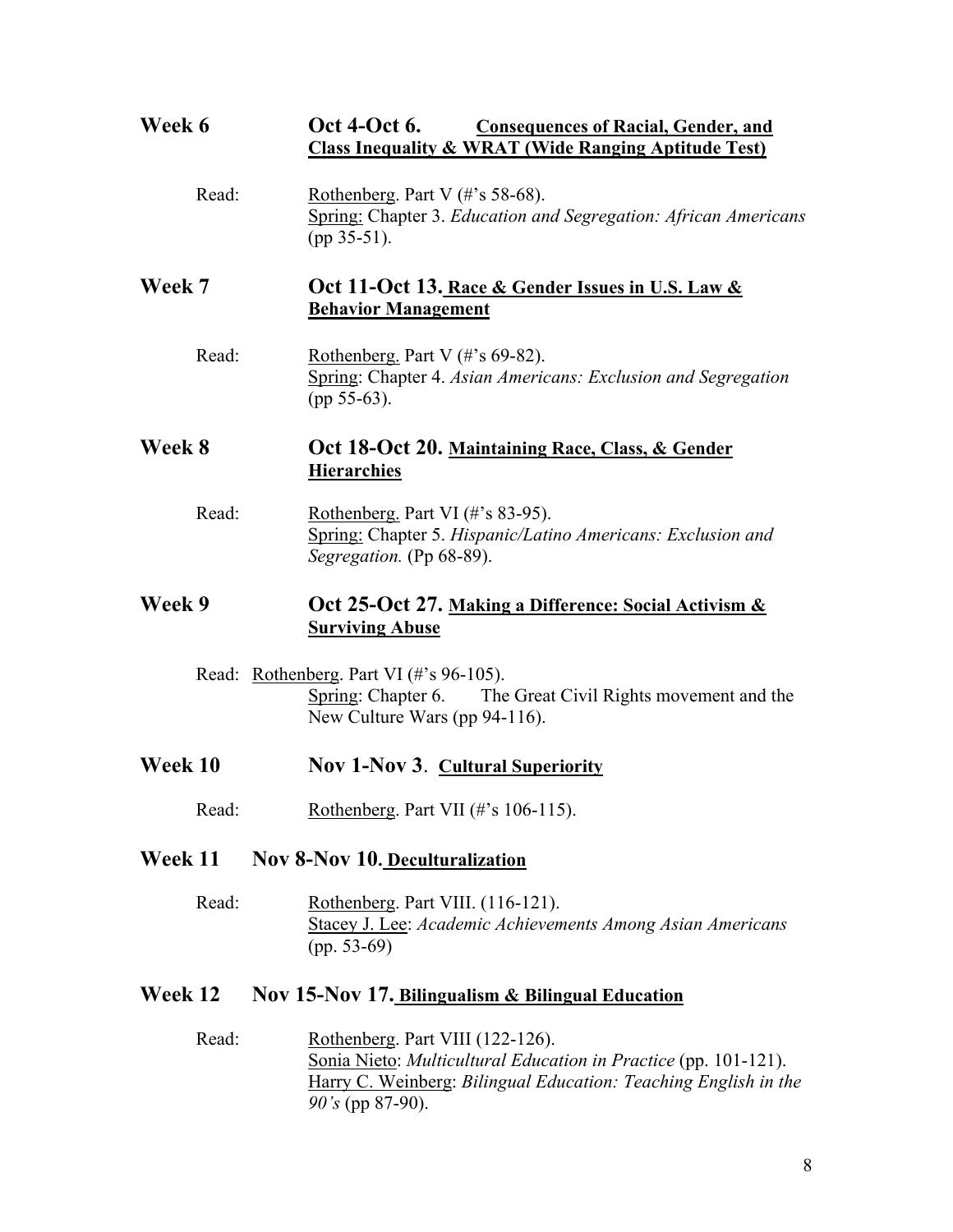| Week 6  | Oct 4-Oct 6.<br><b>Consequences of Racial, Gender, and</b><br><b>Class Inequality &amp; WRAT (Wide Ranging Aptitude Test)</b>                                                                |
|---------|----------------------------------------------------------------------------------------------------------------------------------------------------------------------------------------------|
| Read:   | Rothenberg. Part V $(\# \text{'s } 58-68)$ .<br><b>Spring: Chapter 3. Education and Segregation: African Americans</b><br>$(pp 35-51)$ .                                                     |
| Week 7  | Oct 11-Oct 13. Race & Gender Issues in U.S. Law &<br><b>Behavior Management</b>                                                                                                              |
| Read:   | Rothenberg. Part V $(\# \s$ 69-82).<br>Spring: Chapter 4. Asian Americans: Exclusion and Segregation<br>$(pp 55-63)$ .                                                                       |
| Week 8  | Oct 18-Oct 20. Maintaining Race, Class, & Gender<br><b>Hierarchies</b>                                                                                                                       |
| Read:   | Rothenberg. Part VI $(\#$ 's 83-95).<br>Spring: Chapter 5. Hispanic/Latino Americans: Exclusion and<br>Segregation. (Pp 68-89).                                                              |
| Week 9  | Oct 25-Oct 27. Making a Difference: Social Activism &<br><b>Surviving Abuse</b>                                                                                                              |
|         | Read: Rothenberg. Part VI (#'s 96-105).<br>Spring: Chapter 6. The Great Civil Rights movement and the<br>New Culture Wars (pp 94-116).                                                       |
| Week 10 | <b>Nov 1-Nov 3. Cultural Superiority</b>                                                                                                                                                     |
| Read:   | Rothenberg. Part VII $(\# \text{'s } 106-115)$ .                                                                                                                                             |
| Week 11 | <b>Nov 8-Nov 10. Deculturalization</b>                                                                                                                                                       |
| Read:   | Rothenberg. Part VIII. (116-121).<br>Stacey J. Lee: Academic Achievements Among Asian Americans<br>$(pp. 53-69)$                                                                             |
| Week 12 | Nov 15-Nov 17. Bilingualism & Bilingual Education                                                                                                                                            |
| Read:   | Rothenberg. Part VIII (122-126).<br>Sonia Nieto: Multicultural Education in Practice (pp. 101-121).<br>Harry C. Weinberg: Bilingual Education: Teaching English in the<br>$90's$ (pp 87-90). |